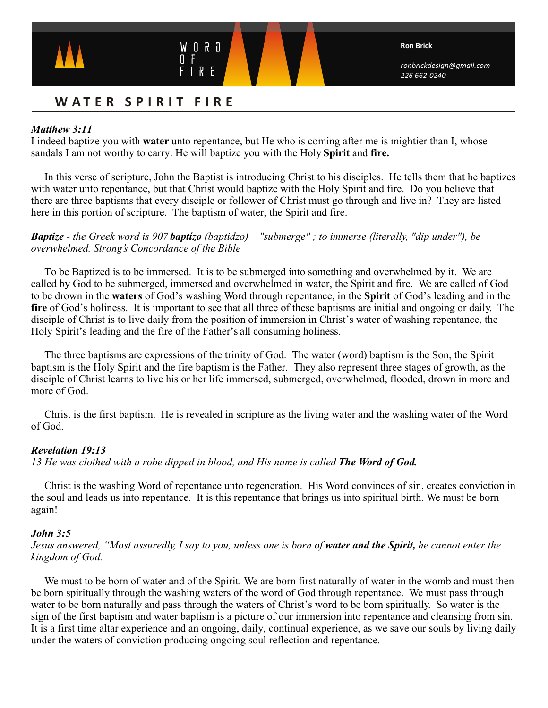

# WATER SPIRIT FIRE

W

 $0 R D$ 

# *Matthew 3:11*

I indeed baptize you with **water** unto repentance, but He who is coming after me is mightier than I, whose sandals I am not worthy to carry. He will baptize you with the Holy **Spirit** and **fire.**

In this verse of scripture, John the Baptist is introducing Christ to his disciples. He tells them that he baptizes with water unto repentance, but that Christ would baptize with the Holy Spirit and fire. Do you believe that there are three baptisms that every disciple or follower of Christ must go through and live in? They are listed here in this portion of scripture. The baptism of water, the Spirit and fire.

## *Baptize - the Greek word is 907 baptízo (baptidzo) – "submerge" ; to immerse (literally, "dip under"), be overwhelmed. Strong's Concordance of the Bible*

To be Baptized is to be immersed. It is to be submerged into something and overwhelmed by it. We are called by God to be submerged, immersed and overwhelmed in water, the Spirit and fire. We are called of God to be drown in the **waters** of God's washing Word through repentance, in the **Spirit** of God's leading and in the **fire** of God's holiness. It is important to see that all three of these baptisms are initial and ongoing or daily. The disciple of Christ is to live daily from the position of immersion in Christ's water of washing repentance, the Holy Spirit's leading and the fire of the Father's all consuming holiness.

 The three baptisms are expressions of the trinity of God. The water (word) baptism is the Son, the Spirit baptism is the Holy Spirit and the fire baptism is the Father. They also represent three stages of growth, as the disciple of Christ learns to live his or her life immersed, submerged, overwhelmed, flooded, drown in more and more of God.

 Christ is the first baptism. He is revealed in scripture as the living water and the washing water of the Word of God.

## *Revelation 19:13*

*13 He was clothed with a robe dipped in blood, and His name is called The Word of God.* 

 Christ is the washing Word of repentance unto regeneration. His Word convinces of sin, creates conviction in the soul and leads us into repentance. It is this repentance that brings us into spiritual birth. We must be born again!

## *John 3:5*

## *Jesus answered, "Most assuredly, I say to you, unless one is born of water and the Spirit, he cannot enter the kingdom of God.*

We must to be born of water and of the Spirit. We are born first naturally of water in the womb and must then be born spiritually through the washing waters of the word of God through repentance. We must pass through water to be born naturally and pass through the waters of Christ's word to be born spiritually. So water is the sign of the first baptism and water baptism is a picture of our immersion into repentance and cleansing from sin. It is a first time altar experience and an ongoing, daily, continual experience, as we save our souls by living daily under the waters of conviction producing ongoing soul reflection and repentance.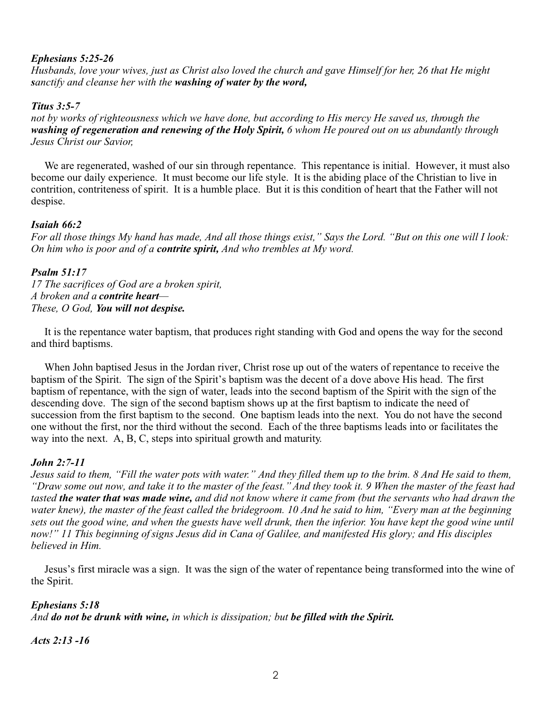# *Ephesians 5:25-26*

*Husbands, love your wives, just as Christ also loved the church and gave Himself for her, 26 that He might sanctify and cleanse her with the washing of water by the word,*

## *Titus 3:5-7*

*not by works of righteousness which we have done, but according to His mercy He saved us, through the washing of regeneration and renewing of the Holy Spirit, 6 whom He poured out on us abundantly through Jesus Christ our Savior,*

 We are regenerated, washed of our sin through repentance. This repentance is initial. However, it must also become our daily experience. It must become our life style. It is the abiding place of the Christian to live in contrition, contriteness of spirit. It is a humble place. But it is this condition of heart that the Father will not despise.

## *Isaiah 66:2*

*For all those things My hand has made, And all those things exist," Says the Lord. "But on this one will I look: On him who is poor and of a contrite spirit, And who trembles at My word.*

#### *Psalm 51:17*

*17 The sacrifices of God are a broken spirit, A broken and a contrite heart— These, O God, You will not despise.*

 It is the repentance water baptism, that produces right standing with God and opens the way for the second and third baptisms.

When John baptised Jesus in the Jordan river, Christ rose up out of the waters of repentance to receive the baptism of the Spirit. The sign of the Spirit's baptism was the decent of a dove above His head. The first baptism of repentance, with the sign of water, leads into the second baptism of the Spirit with the sign of the descending dove. The sign of the second baptism shows up at the first baptism to indicate the need of succession from the first baptism to the second. One baptism leads into the next. You do not have the second one without the first, nor the third without the second. Each of the three baptisms leads into or facilitates the way into the next. A, B, C, steps into spiritual growth and maturity.

## *John 2:7-11*

*Jesus said to them, "Fill the water pots with water." And they filled them up to the brim. 8 And He said to them, "Draw some out now, and take it to the master of the feast." And they took it. 9 When the master of the feast had tasted the water that was made wine, and did not know where it came from (but the servants who had drawn the*  water knew), the master of the feast called the bridegroom. 10 And he said to him, "Every man at the beginning *sets out the good wine, and when the guests have well drunk, then the inferior. You have kept the good wine until now!" 11 This beginning ofsigns Jesus did in Cana of Galilee, and manifested His glory; and His disciples believed in Him.*

Jesus's first miracle was a sign. It was the sign of the water of repentance being transformed into the wine of the Spirit.

## *Ephesians 5:18*

*And do not be drunk with wine, in which is dissipation; but be filled with the Spirit.* 

*Acts 2:13 -16*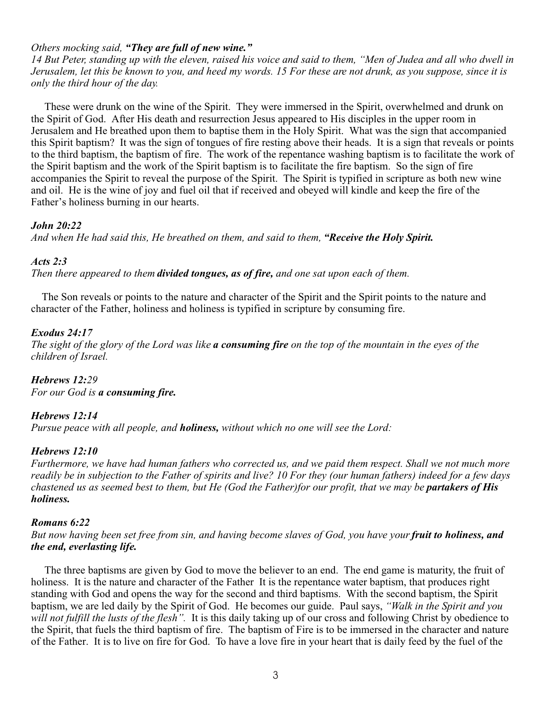# *Others mocking said, "They are full of new wine."*

*14 But Peter, standing up with the eleven, raised his voice and said to them, "Men of Judea and all who dwell in Jerusalem, let this be known to you, and heed my words. 15 For these are not drunk, as you suppose, since it is only the third hour of the day.* 

These were drunk on the wine of the Spirit. They were immersed in the Spirit, overwhelmed and drunk on the Spirit of God. After His death and resurrection Jesus appeared to His disciples in the upper room in Jerusalem and He breathed upon them to baptise them in the Holy Spirit. What was the sign that accompanied this Spirit baptism? It was the sign of tongues of fire resting above their heads. It is a sign that reveals or points to the third baptism, the baptism of fire. The work of the repentance washing baptism is to facilitate the work of the Spirit baptism and the work of the Spirit baptism is to facilitate the fire baptism. So the sign of fire accompanies the Spirit to reveal the purpose of the Spirit. The Spirit is typified in scripture as both new wine and oil. He is the wine of joy and fuel oil that if received and obeyed will kindle and keep the fire of the Father's holiness burning in our hearts.

## *John 20:22*

*And when He had said this, He breathed on them, and said to them, "Receive the Holy Spirit.*

## *Acts 2:3*

*Then there appeared to them divided tongues, as of fire, and one sat upon each of them.*

The Son reveals or points to the nature and character of the Spirit and the Spirit points to the nature and character of the Father, holiness and holiness is typified in scripture by consuming fire.

## *Exodus 24:17*

*The sight of the glory of the Lord was like a consuming fire on the top of the mountain in the eyes of the children of Israel.*

#### *Hebrews 12:29 For our God is a consuming fire.*

## *Hebrews 12:14*

*Pursue peace with all people, and holiness, without which no one will see the Lord:*

## *Hebrews 12:10*

*Furthermore, we have had human fathers who corrected us, and we paid them respect. Shall we not much more readily be in subjection to the Father of spirits and live? 10 For they (our human fathers) indeed for a few days chastened us as seemed best to them, but He (God the Father)for our profit, that we may be partakers of His holiness.*

## *Romans 6:22*

*But now having been set free from sin, and having become slaves of God, you have your fruit to holiness, and the end, everlasting life.*

The three baptisms are given by God to move the believer to an end. The end game is maturity, the fruit of holiness. It is the nature and character of the Father It is the repentance water baptism, that produces right standing with God and opens the way for the second and third baptisms. With the second baptism, the Spirit baptism, we are led daily by the Spirit of God. He becomes our guide. Paul says, *"Walk in the Spirit and you will not fulfill the lusts of the flesh".* It is this daily taking up of our cross and following Christ by obedience to the Spirit, that fuels the third baptism of fire. The baptism of Fire is to be immersed in the character and nature of the Father. It is to live on fire for God. To have a love fire in your heart that is daily feed by the fuel of the